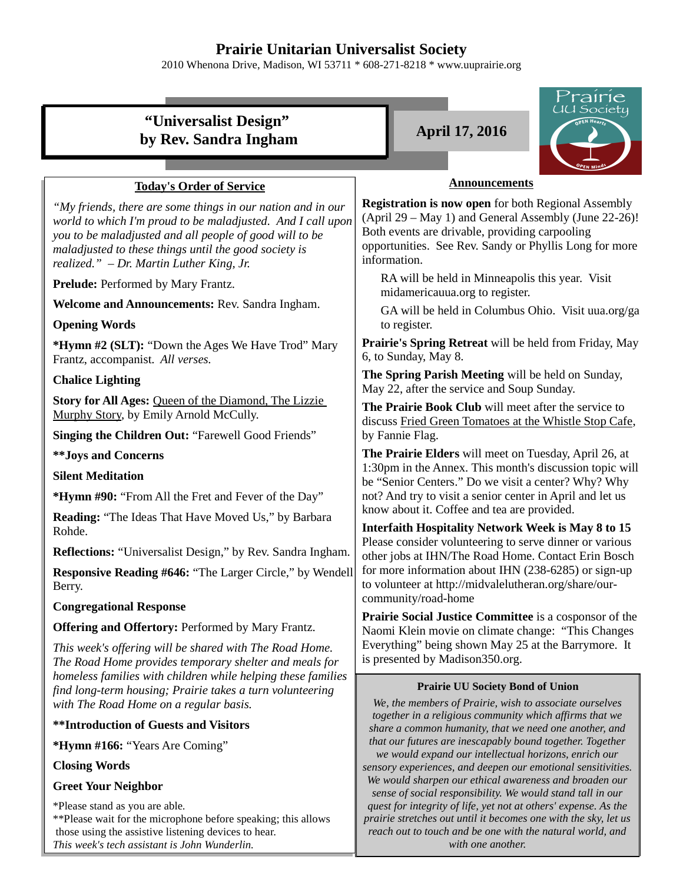## **Prairie Unitarian Universalist Society**

2010 Whenona Drive, Madison, WI 53711 \* 608-271-8218 \* www.uuprairie.org



*with one another.* 

 those using the assistive listening devices to hear. *This week's tech assistant is John Wunderlin.*